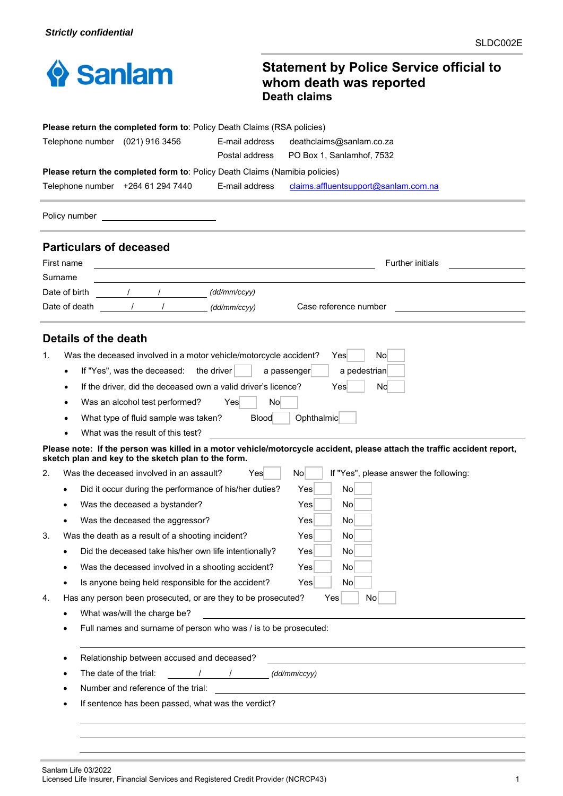

## **Statement by Police Service official to whom death was reported Death claims**

|    |                                                                            | <b>Please return the completed form to: Policy Death Claims (RSA policies)</b> |                |                                                                                                                          |  |  |
|----|----------------------------------------------------------------------------|--------------------------------------------------------------------------------|----------------|--------------------------------------------------------------------------------------------------------------------------|--|--|
|    |                                                                            | Telephone number (021) 916 3456                                                | E-mail address | deathclaims@sanlam.co.za                                                                                                 |  |  |
|    |                                                                            |                                                                                | Postal address | PO Box 1, Sanlamhof, 7532                                                                                                |  |  |
|    |                                                                            | Please return the completed form to: Policy Death Claims (Namibia policies)    |                |                                                                                                                          |  |  |
|    |                                                                            | Telephone number +264 61 294 7440                                              | E-mail address | claims.affluentsupport@sanlam.com.na                                                                                     |  |  |
|    | Policy number                                                              |                                                                                |                |                                                                                                                          |  |  |
|    |                                                                            | <b>Particulars of deceased</b>                                                 |                |                                                                                                                          |  |  |
|    | First name                                                                 |                                                                                |                | <b>Further initials</b>                                                                                                  |  |  |
|    | Surname                                                                    |                                                                                |                |                                                                                                                          |  |  |
|    | Date of birth                                                              |                                                                                | (dd/mm/ccyy)   |                                                                                                                          |  |  |
|    | Date of death                                                              |                                                                                | (dd/mm/ccyy)   | Case reference number                                                                                                    |  |  |
|    |                                                                            |                                                                                |                |                                                                                                                          |  |  |
|    | Details of the death                                                       |                                                                                |                |                                                                                                                          |  |  |
| 1. |                                                                            | Was the deceased involved in a motor vehicle/motorcycle accident?              |                | No<br>Yes                                                                                                                |  |  |
|    |                                                                            | If "Yes", was the deceased:                                                    | the driver     | a pedestrian<br>a passenger                                                                                              |  |  |
|    | $\bullet$                                                                  | If the driver, did the deceased own a valid driver's licence?                  |                | No<br>Yes                                                                                                                |  |  |
|    |                                                                            | Was an alcohol test performed?                                                 | Yes<br>No.     |                                                                                                                          |  |  |
|    |                                                                            | What type of fluid sample was taken?                                           | <b>Blood</b>   | Ophthalmic                                                                                                               |  |  |
|    |                                                                            | What was the result of this test?                                              |                |                                                                                                                          |  |  |
|    |                                                                            | sketch plan and key to the sketch plan to the form.                            |                | Please note: If the person was killed in a motor vehicle/motorcycle accident, please attach the traffic accident report, |  |  |
| 2. |                                                                            | Was the deceased involved in an assault?                                       | Yesl           | No<br>If "Yes", please answer the following:                                                                             |  |  |
|    |                                                                            | Did it occur during the performance of his/her duties?                         |                | Yes<br>No                                                                                                                |  |  |
|    |                                                                            | Was the deceased a bystander?                                                  |                | No<br>Yes                                                                                                                |  |  |
|    |                                                                            | Was the deceased the aggressor?                                                |                | Nol<br>Yes                                                                                                               |  |  |
| 3. |                                                                            | Was the death as a result of a shooting incident?                              |                | No<br>Yes                                                                                                                |  |  |
|    |                                                                            | Did the deceased take his/her own life intentionally?                          |                | No<br>Yes                                                                                                                |  |  |
|    |                                                                            | Was the deceased involved in a shooting accident?                              |                | N <sub>o</sub><br>Yes                                                                                                    |  |  |
|    |                                                                            | Is anyone being held responsible for the accident?                             |                | N <sub>o</sub><br>Yes                                                                                                    |  |  |
| 4. | Has any person been prosecuted, or are they to be prosecuted?<br>Yes<br>No |                                                                                |                |                                                                                                                          |  |  |
|    | What was/will the charge be?                                               |                                                                                |                |                                                                                                                          |  |  |
|    |                                                                            | Full names and surname of person who was / is to be prosecuted:                |                |                                                                                                                          |  |  |
|    |                                                                            | Relationship between accused and deceased?                                     |                |                                                                                                                          |  |  |
|    |                                                                            | The date of the trial:<br>$\prime$                                             | $\sqrt{2}$     | (dd/mm/ccyy)                                                                                                             |  |  |
|    |                                                                            | Number and reference of the trial:                                             |                |                                                                                                                          |  |  |
|    |                                                                            | If sentence has been passed, what was the verdict?                             |                |                                                                                                                          |  |  |
|    |                                                                            |                                                                                |                |                                                                                                                          |  |  |
|    |                                                                            |                                                                                |                |                                                                                                                          |  |  |

Sanlam Life 03/2022 Licensed Life Insurer, Financial Services and Registered Credit Provider (NCRCP43) 1